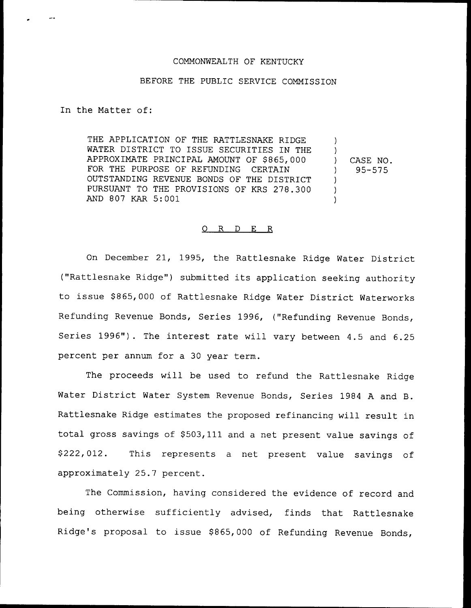## COMMONWEALTH OF KENTUCKY

## BEFORE THE PUBLIC SERVICE COMMISSION

In the Matter of:

THE APPLICATION OF THE RATTLESNAKE RIDGE WATER DISTRICT TO ISSUE SECURITIES IN THE APPROXIMATE PRINCIPAL AMOUNT OF \$865,000 FOR THE PURPOSE OF REFUNDING CERTAIN FOR THE PURPOSE OF REFUNDING OUTSTANDING REVENUE BONDS OF THE DISTRICT PURSUANT TO THE PROVISIONS OF KRS 278.300 AND 807 KAR 5:001 ) ) ) CASE NO. ) 95-575 ) ) )

## 0 R <sup>D</sup> E R

On December 21, 1995, the Rattlesnake Ridge Water District ("Rattlesnake Ridge") submitted its application seeking authority to issue \$ 865,000 of Rattlesnake Ridge Water District Waterworks Refunding Revenue Bonds, Series 1996, {"Refunding Revenue Bonds, Series 1996"). The interest rate will vary between 4.5 and 6.25 percent per annum for a 30 year term.

The proceeds will be used to refund the Rattlesnake Ridge Water District Water System Revenue Bonds, Series 1984 <sup>A</sup> and B. Rattlesnake Ridge estimates the proposed refinancing will result in total gross savings of 9503,111 and <sup>a</sup> net present value savings of \$ 222, 012. This represents a net present value savings of approximately 25.7 percent.

The Commission, having considered the evidence of record and being otherwise sufficiently advised, finds that Rattlesnake Ridge's proposal to issue \$865,000 of Refunding Revenue Bonds,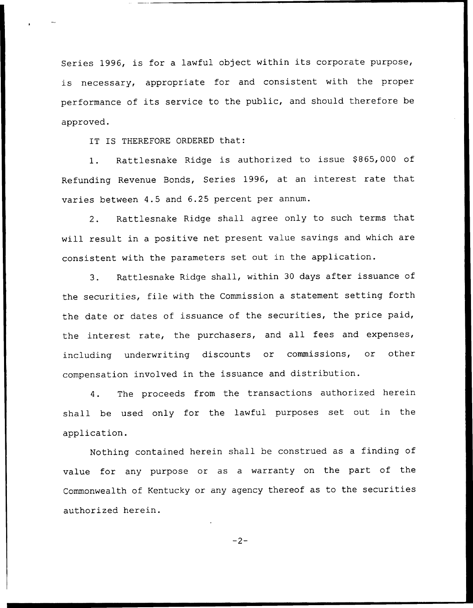Series 1996, is for <sup>a</sup> lawful object within its corporate purpose, is necessary, appropriate for and consistent with the proper performance of its service to the public, and should therefore be approved.

IT IS THEREFORE ORDERED that:

Rattlesnake Ridge is authorized to issue \$865,000 of  $1.$ Refunding Revenue Bonds, Series 1996, at an interest rate that varies between 4.5 and 6.25 percent per annum.

2. Rattlesnake Ridge shall agree only to such terms that will result in a positive net present value savings and which are consistent with the parameters set out in the application.

3. Rattlesnake Ridge shall, within <sup>30</sup> days after issuance of the securities, file with the Commission <sup>a</sup> statement setting forth the date or dates of issuance of the securities, the price paid, the interest rate, the purchasers, and all fees and expenses, including underwriting discounts or commissions, or other compensation involved in the issuance and distribution.

4. The proceeds from the transactions authorized herein shall be used only for the lawful purposes set out in the application.

Nothing contained herein shall be construed as <sup>a</sup> finding of value for any purpose or as a warranty on the part of the Commonwealth of Kentucky or any agency thereof as to the securities authorized herein.

 $-2-$